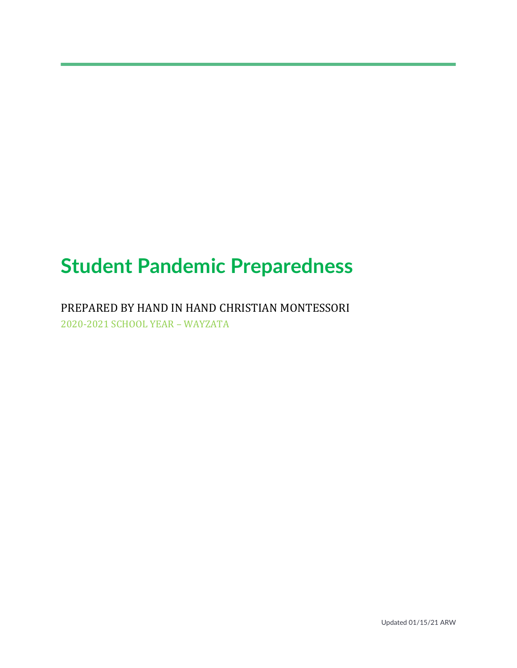# **Student Pandemic Preparedness**

PREPARED BY HAND IN HAND CHRISTIAN MONTESSORI 2020-2021 SCHOOL YEAR – WAYZATA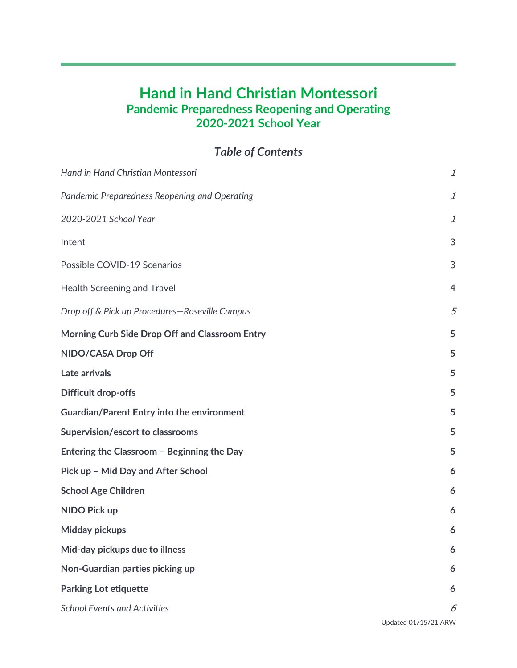## **Hand in Hand Christian Montessori Pandemic Preparedness Reopening and Operating 2020-2021 School Year**

*Table of Contents*

| Hand in Hand Christian Montessori                 | 1                    |
|---------------------------------------------------|----------------------|
| Pandemic Preparedness Reopening and Operating     | $\it 1$              |
| 2020-2021 School Year                             | 1                    |
| Intent                                            | 3                    |
| Possible COVID-19 Scenarios                       | 3                    |
| <b>Health Screening and Travel</b>                | $\overline{4}$       |
| Drop off & Pick up Procedures-Roseville Campus    | 5                    |
| Morning Curb Side Drop Off and Classroom Entry    | 5                    |
| NIDO/CASA Drop Off                                | 5                    |
| Late arrivals                                     | 5                    |
| <b>Difficult drop-offs</b>                        | 5                    |
| <b>Guardian/Parent Entry into the environment</b> | 5                    |
| Supervision/escort to classrooms                  | 5                    |
| Entering the Classroom - Beginning the Day        | 5                    |
| Pick up - Mid Day and After School                | 6                    |
| <b>School Age Children</b>                        | 6                    |
| <b>NIDO Pick up</b>                               | 6                    |
| <b>Midday pickups</b>                             | 6                    |
| Mid-day pickups due to illness                    | 6                    |
| Non-Guardian parties picking up                   | 6                    |
| <b>Parking Lot etiquette</b>                      | 6                    |
| <b>School Events and Activities</b>               | 6                    |
|                                                   | Updated 01/15/21 ARW |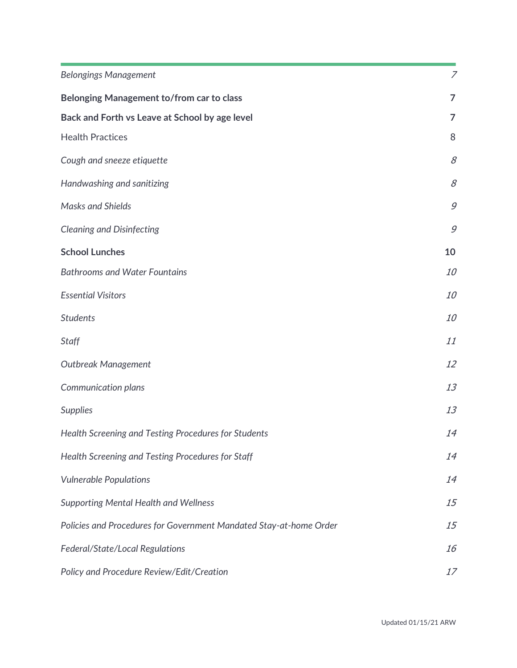| <b>Belongings Management</b>                                       | $\overline{z}$ |
|--------------------------------------------------------------------|----------------|
|                                                                    |                |
| Belonging Management to/from car to class                          | $\overline{7}$ |
| Back and Forth vs Leave at School by age level                     | $\overline{7}$ |
| <b>Health Practices</b>                                            | 8              |
| Cough and sneeze etiquette                                         | 8              |
| Handwashing and sanitizing                                         | 8              |
| <b>Masks and Shields</b>                                           | 9              |
| <b>Cleaning and Disinfecting</b>                                   | 9              |
| <b>School Lunches</b>                                              | 10             |
| <b>Bathrooms and Water Fountains</b>                               | <i>10</i>      |
| <b>Essential Visitors</b>                                          | 10             |
| <b>Students</b>                                                    | 10             |
| <b>Staff</b>                                                       | 11             |
| <b>Outbreak Management</b>                                         | 12             |
| Communication plans                                                | 13             |
| <b>Supplies</b>                                                    | 13             |
| Health Screening and Testing Procedures for Students               | 14             |
| Health Screening and Testing Procedures for Staff                  | 14             |
| <b>Vulnerable Populations</b>                                      | 14             |
| <b>Supporting Mental Health and Wellness</b>                       | 15             |
| Policies and Procedures for Government Mandated Stay-at-home Order | 15             |
| Federal/State/Local Regulations                                    | 16             |
| Policy and Procedure Review/Edit/Creation                          | 17             |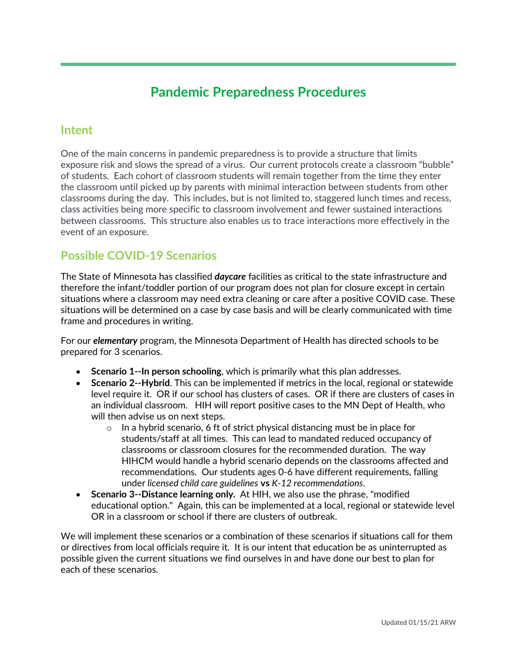# **Pandemic Preparedness Procedures**

### **Intent**

One of the main concerns in pandemic preparedness is to provide a structure that limits exposure risk and slows the spread of a virus. Our current protocols create a classroom "bubble" of students. Each cohort of classroom students will remain together from the time they enter the classroom until picked up by parents with minimal interaction between students from other classrooms during the day. This includes, but is not limited to, staggered lunch times and recess, class activities being more specific to classroom involvement and fewer sustained interactions between classrooms. This structure also enables us to trace interactions more effectively in the event of an exposure.

### **Possible COVID-19 Scenarios**

The State of Minnesota has classified *daycare* facilities as critical to the state infrastructure and therefore the infant/toddler portion of our program does not plan for closure except in certain situations where a classroom may need extra cleaning or care after a positive COVID case. These situations will be determined on a case by case basis and will be clearly communicated with time frame and procedures in writing.

For our *elementary* program, the Minnesota Department of Health has directed schools to be prepared for 3 scenarios.

- **Scenario 1--In person schooling**, which is primarily what this plan addresses.
- **Scenario 2--Hybrid**. This can be implemented if metrics in the local, regional or statewide level require it. OR if our school has clusters of cases. OR if there are clusters of cases in an individual classroom. HIH will report positive cases to the MN Dept of Health, who will then advise us on next steps.
	- $\circ$  In a hybrid scenario, 6 ft of strict physical distancing must be in place for students/staff at all times. This can lead to mandated reduced occupancy of classrooms or classroom closures for the recommended duration. The way HIHCM would handle a hybrid scenario depends on the classrooms affected and recommendations. Our students ages 0-6 have different requirements, falling under *licensed child care guidelines* **vs** *K-12 recommendations*.
- **Scenario 3--Distance learning only.** At HIH, we also use the phrase, "modified educational option." Again, this can be implemented at a local, regional or statewide level OR in a classroom or school if there are clusters of outbreak.

We will implement these scenarios or a combination of these scenarios if situations call for them or directives from local officials require it. It is our intent that education be as uninterrupted as possible given the current situations we find ourselves in and have done our best to plan for each of these scenarios.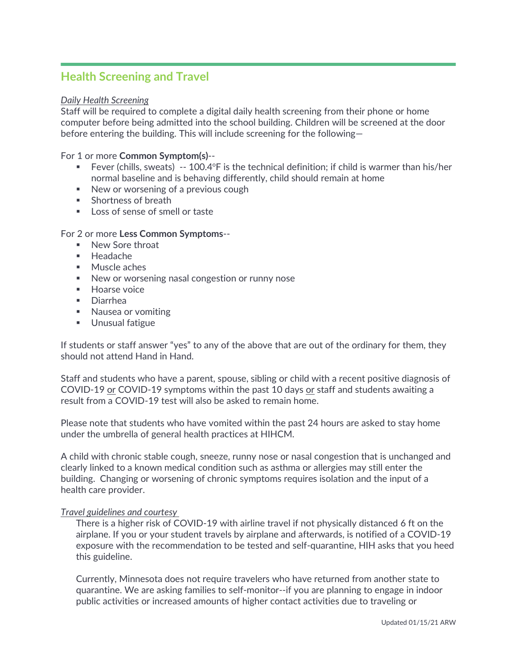### **Health Screening and Travel**

#### *Daily Health Screening*

Staff will be required to complete a digital daily health screening from their phone or home computer before being admitted into the school building. Children will be screened at the door before entering the building. This will include screening for the following—

For 1 or more **Common Symptom(s)**--

- Fever (chills, sweats)  $-100.4$ <sup>o</sup>F is the technical definition; if child is warmer than his/her normal baseline and is behaving differently, child should remain at home
- New or worsening of a previous cough
- Shortness of breath
- Loss of sense of smell or taste

#### For 2 or more **Less Common Symptoms**--

- New Sore throat
- Headache
- Muscle aches
- New or worsening nasal congestion or runny nose
- Hoarse voice
- Diarrhea
- Nausea or vomiting
- Unusual fatigue

If students or staff answer "yes" to any of the above that are out of the ordinary for them, they should not attend Hand in Hand.

Staff and students who have a parent, spouse, sibling or child with a recent positive diagnosis of COVID-19 or COVID-19 symptoms within the past 10 days or staff and students awaiting a result from a COVID-19 test will also be asked to remain home.

Please note that students who have vomited within the past 24 hours are asked to stay home under the umbrella of general health practices at HIHCM.

A child with chronic stable cough, sneeze, runny nose or nasal congestion that is unchanged and clearly linked to a known medical condition such as asthma or allergies may still enter the building. Changing or worsening of chronic symptoms requires isolation and the input of a health care provider.

#### *Travel guidelines and courtesy*

There is a higher risk of COVID-19 with airline travel if not physically distanced 6 ft on the airplane. If you or your student travels by airplane and afterwards, is notified of a COVID-19 exposure with the recommendation to be tested and self-quarantine, HIH asks that you heed this guideline.

Currently, Minnesota does not require travelers who have returned from another state to quarantine. We are asking families to self-monitor--if you are planning to engage in indoor public activities or increased amounts of higher contact activities due to traveling or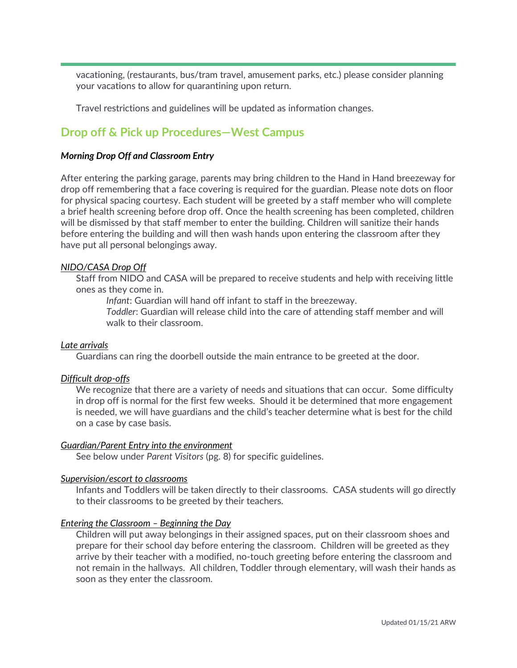vacationing, (restaurants, bus/tram travel, amusement parks, etc.) please consider planning your vacations to allow for quarantining upon return.

Travel restrictions and guidelines will be updated as information changes.

### **Drop off & Pick up Procedures—West Campus**

#### *Morning Drop Off and Classroom Entry*

After entering the parking garage, parents may bring children to the Hand in Hand breezeway for drop off remembering that a face covering is required for the guardian. Please note dots on floor for physical spacing courtesy. Each student will be greeted by a staff member who will complete a brief health screening before drop off. Once the health screening has been completed, children will be dismissed by that staff member to enter the building. Children will sanitize their hands before entering the building and will then wash hands upon entering the classroom after they have put all personal belongings away.

#### *NIDO/CASA Drop Off*

Staff from NIDO and CASA will be prepared to receive students and help with receiving little ones as they come in.

*Infant*: Guardian will hand off infant to staff in the breezeway.

*Toddler*: Guardian will release child into the care of attending staff member and will walk to their classroom.

#### *Late arrivals*

Guardians can ring the doorbell outside the main entrance to be greeted at the door.

#### *Difficult drop-offs*

We recognize that there are a variety of needs and situations that can occur. Some difficulty in drop off is normal for the first few weeks. Should it be determined that more engagement is needed, we will have guardians and the child's teacher determine what is best for the child on a case by case basis.

#### *Guardian/Parent Entry into the environment*

See below under *Parent Visitors* (pg. 8) for specific guidelines.

#### *Supervision/escort to classrooms*

Infants and Toddlers will be taken directly to their classrooms. CASA students will go directly to their classrooms to be greeted by their teachers.

#### *Entering the Classroom – Beginning the Day*

Children will put away belongings in their assigned spaces, put on their classroom shoes and prepare for their school day before entering the classroom. Children will be greeted as they arrive by their teacher with a modified, no-touch greeting before entering the classroom and not remain in the hallways. All children, Toddler through elementary, will wash their hands as soon as they enter the classroom.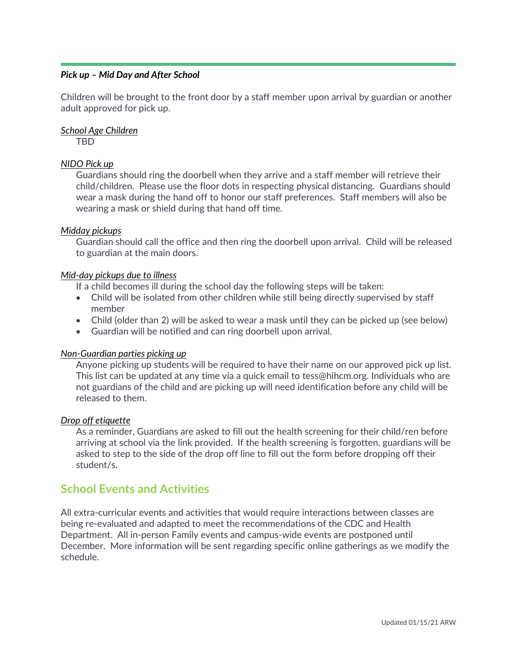### *Pick up – Mid Day and After School*

Children will be brought to the front door by a staff member upon arrival by guardian or another adult approved for pick up.

### *School Age Children*

TBD

### *NIDO Pick up*

Guardians should ring the doorbell when they arrive and a staff member will retrieve their child/children. Please use the floor dots in respecting physical distancing. Guardians should wear a mask during the hand off to honor our staff preferences. Staff members will also be wearing a mask or shield during that hand off time.

### *Midday pickups*

Guardian should call the office and then ring the doorbell upon arrival. Child will be released to guardian at the main doors.

#### *Mid-day pickups due to illness*

If a child becomes ill during the school day the following steps will be taken:

- Child will be isolated from other children while still being directly supervised by staff member
- Child (older than 2) will be asked to wear a mask until they can be picked up (see below)
- Guardian will be notified and can ring doorbell upon arrival.

#### *Non-Guardian parties picking up*

Anyone picking up students will be required to have their name on our approved pick up list. This list can be updated at any time via a quick email to tess@hihcm.org. Individuals who are not guardians of the child and are picking up will need identification before any child will be released to them.

#### *Drop off etiquette*

As a reminder, Guardians are asked to fill out the health screening for their child/ren before arriving at school via the link provided. If the health screening is forgotten, guardians will be asked to step to the side of the drop off line to fill out the form before dropping off their student/s.

### **School Events and Activities**

All extra-curricular events and activities that would require interactions between classes are being re-evaluated and adapted to meet the recommendations of the CDC and Health Department. All in-person Family events and campus-wide events are postponed until December. More information will be sent regarding specific online gatherings as we modify the schedule.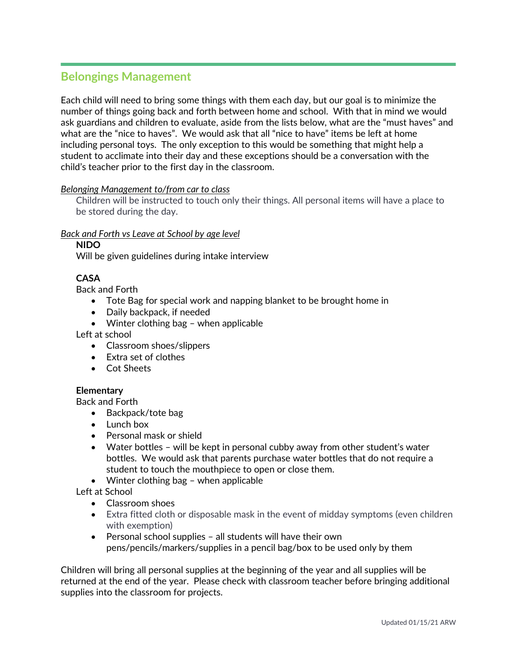### **Belongings Management**

Each child will need to bring some things with them each day, but our goal is to minimize the number of things going back and forth between home and school. With that in mind we would ask guardians and children to evaluate, aside from the lists below, what are the "must haves" and what are the "nice to haves". We would ask that all "nice to have" items be left at home including personal toys. The only exception to this would be something that might help a student to acclimate into their day and these exceptions should be a conversation with the child's teacher prior to the first day in the classroom.

### *Belonging Management to/from car to class*

Children will be instructed to touch only their things. All personal items will have a place to be stored during the day.

### *Back and Forth vs Leave at School by age level*

**NIDO**

Will be given guidelines during intake interview

### **CASA**

Back and Forth

- Tote Bag for special work and napping blanket to be brought home in
- Daily backpack, if needed
- Winter clothing bag when applicable

Left at school

- Classroom shoes/slippers
- Extra set of clothes
- Cot Sheets

### **Elementary**

Back and Forth

- Backpack/tote bag
- Lunch box
- Personal mask or shield
- Water bottles will be kept in personal cubby away from other student's water bottles. We would ask that parents purchase water bottles that do not require a student to touch the mouthpiece to open or close them.
- Winter clothing bag when applicable

Left at School

- Classroom shoes
- Extra fitted cloth or disposable mask in the event of midday symptoms (even children with exemption)
- Personal school supplies all students will have their own pens/pencils/markers/supplies in a pencil bag/box to be used only by them

Children will bring all personal supplies at the beginning of the year and all supplies will be returned at the end of the year. Please check with classroom teacher before bringing additional supplies into the classroom for projects.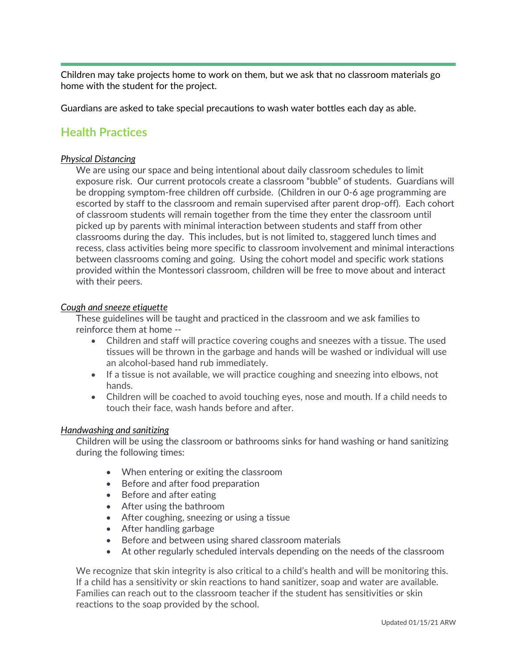Children may take projects home to work on them, but we ask that no classroom materials go home with the student for the project.

Guardians are asked to take special precautions to wash water bottles each day as able.

### **Health Practices**

### *Physical Distancing*

We are using our space and being intentional about daily classroom schedules to limit exposure risk. Our current protocols create a classroom "bubble" of students. Guardians will be dropping symptom-free children off curbside. (Children in our 0-6 age programming are escorted by staff to the classroom and remain supervised after parent drop-off). Each cohort of classroom students will remain together from the time they enter the classroom until picked up by parents with minimal interaction between students and staff from other classrooms during the day. This includes, but is not limited to, staggered lunch times and recess, class activities being more specific to classroom involvement and minimal interactions between classrooms coming and going. Using the cohort model and specific work stations provided within the Montessori classroom, children will be free to move about and interact with their peers.

#### *Cough and sneeze etiquette*

These guidelines will be taught and practiced in the classroom and we ask families to reinforce them at home --

- Children and staff will practice covering coughs and sneezes with a tissue. The used tissues will be thrown in the garbage and hands will be washed or individual will use an alcohol-based hand rub immediately.
- If a tissue is not available, we will practice coughing and sneezing into elbows, not hands.
- Children will be coached to avoid touching eyes, nose and mouth. If a child needs to touch their face, wash hands before and after.

#### *Handwashing and sanitizing*

Children will be using the classroom or bathrooms sinks for hand washing or hand sanitizing during the following times:

- When entering or exiting the classroom
- Before and after food preparation
- Before and after eating
- After using the bathroom
- After coughing, sneezing or using a tissue
- After handling garbage
- Before and between using shared classroom materials
- At other regularly scheduled intervals depending on the needs of the classroom

We recognize that skin integrity is also critical to a child's health and will be monitoring this. If a child has a sensitivity or skin reactions to hand sanitizer, soap and water are available. Families can reach out to the classroom teacher if the student has sensitivities or skin reactions to the soap provided by the school.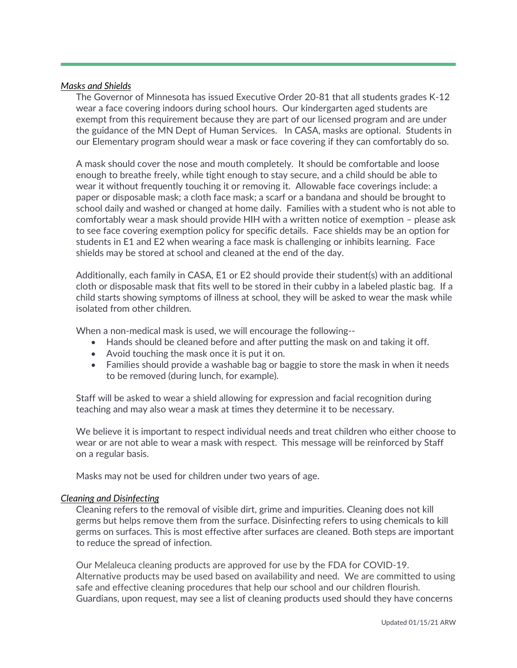#### *Masks and Shields*

The Governor of Minnesota has issued Executive Order 20-81 that all students grades K-12 wear a face covering indoors during school hours. Our kindergarten aged students are exempt from this requirement because they are part of our licensed program and are under the guidance of the MN Dept of Human Services. In CASA, masks are optional. Students in our Elementary program should wear a mask or face covering if they can comfortably do so.

A mask should cover the nose and mouth completely. It should be comfortable and loose enough to breathe freely, while tight enough to stay secure, and a child should be able to wear it without frequently touching it or removing it. Allowable face coverings include: a paper or disposable mask; a cloth face mask; a scarf or a bandana and should be brought to school daily and washed or changed at home daily. Families with a student who is not able to comfortably wear a mask should provide HIH with a written notice of exemption – please ask to see face covering exemption policy for specific details. Face shields may be an option for students in E1 and E2 when wearing a face mask is challenging or inhibits learning. Face shields may be stored at school and cleaned at the end of the day.

Additionally, each family in CASA, E1 or E2 should provide their student(s) with an additional cloth or disposable mask that fits well to be stored in their cubby in a labeled plastic bag. If a child starts showing symptoms of illness at school, they will be asked to wear the mask while isolated from other children.

When a non-medical mask is used, we will encourage the following--

- Hands should be cleaned before and after putting the mask on and taking it off.
- Avoid touching the mask once it is put it on.
- Families should provide a washable bag or baggie to store the mask in when it needs to be removed (during lunch, for example).

Staff will be asked to wear a shield allowing for expression and facial recognition during teaching and may also wear a mask at times they determine it to be necessary.

We believe it is important to respect individual needs and treat children who either choose to wear or are not able to wear a mask with respect. This message will be reinforced by Staff on a regular basis.

Masks may not be used for children under two years of age.

#### *Cleaning and Disinfecting*

Cleaning refers to the removal of visible dirt, grime and impurities. Cleaning does not kill germs but helps remove them from the surface. Disinfecting refers to using chemicals to kill germs on surfaces. This is most effective after surfaces are cleaned. Both steps are important to reduce the spread of infection.

Our Melaleuca cleaning products are approved for use by the FDA for COVID-19. Alternative products may be used based on availability and need. We are committed to using safe and effective cleaning procedures that help our school and our children flourish. Guardians, upon request, may see a list of cleaning products used should they have concerns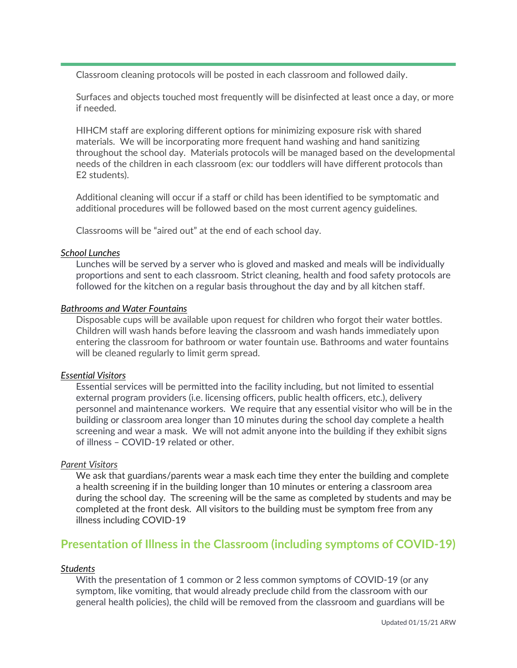Classroom cleaning protocols will be posted in each classroom and followed daily.

Surfaces and objects touched most frequently will be disinfected at least once a day, or more if needed.

HIHCM staff are exploring different options for minimizing exposure risk with shared materials. We will be incorporating more frequent hand washing and hand sanitizing throughout the school day. Materials protocols will be managed based on the developmental needs of the children in each classroom (ex: our toddlers will have different protocols than E2 students).

Additional cleaning will occur if a staff or child has been identified to be symptomatic and additional procedures will be followed based on the most current agency guidelines.

Classrooms will be "aired out" at the end of each school day.

### *School Lunches*

Lunches will be served by a server who is gloved and masked and meals will be individually proportions and sent to each classroom. Strict cleaning, health and food safety protocols are followed for the kitchen on a regular basis throughout the day and by all kitchen staff.

### *Bathrooms and Water Fountains*

Disposable cups will be available upon request for children who forgot their water bottles. Children will wash hands before leaving the classroom and wash hands immediately upon entering the classroom for bathroom or water fountain use. Bathrooms and water fountains will be cleaned regularly to limit germ spread.

### *Essential Visitors*

Essential services will be permitted into the facility including, but not limited to essential external program providers (i.e. licensing officers, public health officers, etc.), delivery personnel and maintenance workers. We require that any essential visitor who will be in the building or classroom area longer than 10 minutes during the school day complete a health screening and wear a mask. We will not admit anyone into the building if they exhibit signs of illness – COVID-19 related or other.

#### *Parent Visitors*

We ask that guardians/parents wear a mask each time they enter the building and complete a health screening if in the building longer than 10 minutes or entering a classroom area during the school day. The screening will be the same as completed by students and may be completed at the front desk. All visitors to the building must be symptom free from any illness including COVID-19

### **Presentation of Illness in the Classroom (including symptoms of COVID-19)**

### *Students*

With the presentation of 1 common or 2 less common symptoms of COVID-19 (or any symptom, like vomiting, that would already preclude child from the classroom with our general health policies), the child will be removed from the classroom and guardians will be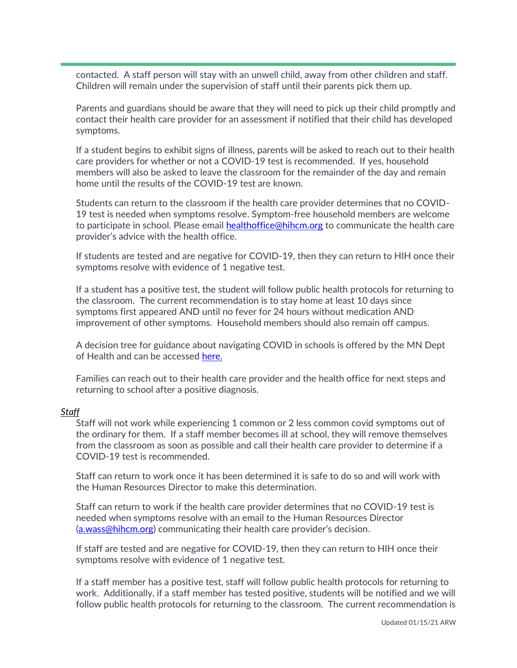contacted. A staff person will stay with an unwell child, away from other children and staff. Children will remain under the supervision of staff until their parents pick them up.

Parents and guardians should be aware that they will need to pick up their child promptly and contact their health care provider for an assessment if notified that their child has developed symptoms.

If a student begins to exhibit signs of illness, parents will be asked to reach out to their health care providers for whether or not a COVID-19 test is recommended. If yes, household members will also be asked to leave the classroom for the remainder of the day and remain home until the results of the COVID-19 test are known.

Students can return to the classroom if the health care provider determines that no COVID-19 test is needed when symptoms resolve. Symptom-free household members are welcome to participate in school. Please email [healthoffice@hihcm.org](mailto:healthoffice@hihcm.org) to communicate the health care provider's advice with the health office.

If students are tested and are negative for COVID-19, then they can return to HIH once their symptoms resolve with evidence of 1 negative test.

If a student has a positive test, the student will follow public health protocols for returning to the classroom. The current recommendation is to stay home at least 10 days since symptoms first appeared AND until no fever for 24 hours without medication AND improvement of other symptoms. Household members should also remain off campus.

A decision tree for guidance about navigating COVID in schools is offered by the MN Dept of Health and can be accessed [here.](https://www.health.state.mn.us/diseases/coronavirus/schools/exguide.pdf)

Families can reach out to their health care provider and the health office for next steps and returning to school after a positive diagnosis.

#### *Staff*

Staff will not work while experiencing 1 common or 2 less common covid symptoms out of the ordinary for them. If a staff member becomes ill at school, they will remove themselves from the classroom as soon as possible and call their health care provider to determine if a COVID-19 test is recommended.

Staff can return to work once it has been determined it is safe to do so and will work with the Human Resources Director to make this determination.

Staff can return to work if the health care provider determines that no COVID-19 test is needed when symptoms resolve with an email to the Human Resources Director [\(a.wass@hihcm.org\)](mailto:a.wass@hihcm.org) communicating their health care provider's decision.

If staff are tested and are negative for COVID-19, then they can return to HIH once their symptoms resolve with evidence of 1 negative test.

If a staff member has a positive test, staff will follow public health protocols for returning to work. Additionally, if a staff member has tested positive, students will be notified and we will follow public health protocols for returning to the classroom. The current recommendation is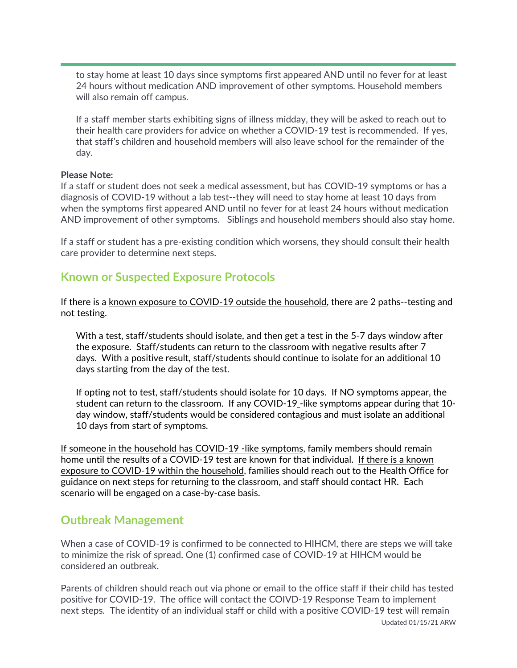to stay home at least 10 days since symptoms first appeared AND until no fever for at least 24 hours without medication AND improvement of other symptoms. Household members will also remain off campus.

If a staff member starts exhibiting signs of illness midday, they will be asked to reach out to their health care providers for advice on whether a COVID-19 test is recommended. If yes, that staff's children and household members will also leave school for the remainder of the day.

### **Please Note:**

If a staff or student does not seek a medical assessment, but has COVID-19 symptoms or has a diagnosis of COVID-19 without a lab test--they will need to stay home at least 10 days from when the symptoms first appeared AND until no fever for at least 24 hours without medication AND improvement of other symptoms. Siblings and household members should also stay home.

If a staff or student has a pre-existing condition which worsens, they should consult their health care provider to determine next steps.

### **Known or Suspected Exposure Protocols**

If there is a known exposure to COVID-19 outside the household, there are 2 paths--testing and not testing.

With a test, staff/students should isolate, and then get a test in the 5-7 days window after the exposure. Staff/students can return to the classroom with negative results after 7 days. With a positive result, staff/students should continue to isolate for an additional 10 days starting from the day of the test.

If opting not to test, staff/students should isolate for 10 days. If NO symptoms appear, the student can return to the classroom. If any COVID-19 -like symptoms appear during that 10 day window, staff/students would be considered contagious and must isolate an additional 10 days from start of symptoms.

If someone in the household has COVID-19 -like symptoms, family members should remain home until the results of a COVID-19 test are known for that individual. If there is a known exposure to COVID-19 within the household, families should reach out to the Health Office for guidance on next steps for returning to the classroom, and staff should contact HR. Each scenario will be engaged on a case-by-case basis.

### **Outbreak Management**

When a case of COVID-19 is confirmed to be connected to HIHCM, there are steps we will take to minimize the risk of spread. One (1) confirmed case of COVID-19 at HIHCM would be considered an outbreak.

Updated 01/15/21 ARW Parents of children should reach out via phone or email to the office staff if their child has tested positive for COVID-19. The office will contact the COIVD-19 Response Team to implement next steps. The identity of an individual staff or child with a positive COVID-19 test will remain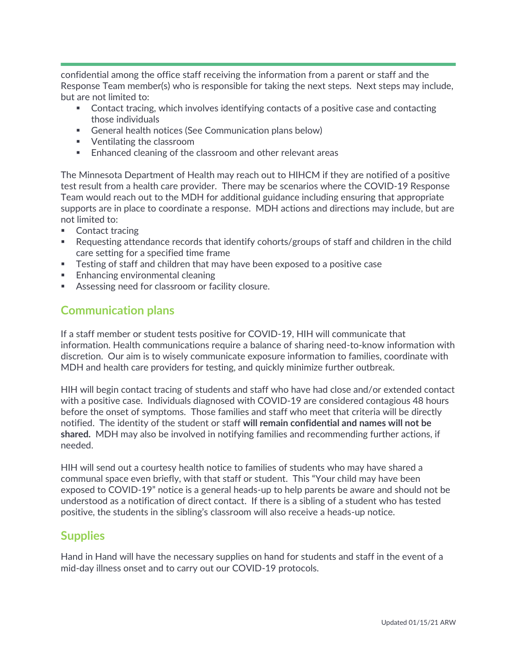confidential among the office staff receiving the information from a parent or staff and the Response Team member(s) who is responsible for taking the next steps. Next steps may include, but are not limited to:

- Contact tracing, which involves identifying contacts of a positive case and contacting those individuals
- General health notices (See Communication plans below)
- Ventilating the classroom
- Enhanced cleaning of the classroom and other relevant areas

The Minnesota Department of Health may reach out to HIHCM if they are notified of a positive test result from a health care provider. There may be scenarios where the COVID-19 Response Team would reach out to the MDH for additional guidance including ensuring that appropriate supports are in place to coordinate a response. MDH actions and directions may include, but are not limited to:

- Contact tracing
- Requesting attendance records that identify cohorts/groups of staff and children in the child care setting for a specified time frame
- **EXECT** Testing of staff and children that may have been exposed to a positive case
- Enhancing environmental cleaning
- Assessing need for classroom or facility closure.

### **Communication plans**

If a staff member or student tests positive for COVID-19, HIH will communicate that information. Health communications require a balance of sharing need-to-know information with discretion. Our aim is to wisely communicate exposure information to families, coordinate with MDH and health care providers for testing, and quickly minimize further outbreak.

HIH will begin contact tracing of students and staff who have had close and/or extended contact with a positive case. Individuals diagnosed with COVID-19 are considered contagious 48 hours before the onset of symptoms. Those families and staff who meet that criteria will be directly notified. The identity of the student or staff **will remain confidential and names will not be shared.** MDH may also be involved in notifying families and recommending further actions, if needed.

HIH will send out a courtesy health notice to families of students who may have shared a communal space even briefly, with that staff or student. This "Your child may have been exposed to COVID-19" notice is a general heads-up to help parents be aware and should not be understood as a notification of direct contact. If there is a sibling of a student who has tested positive, the students in the sibling's classroom will also receive a heads-up notice.

### **Supplies**

Hand in Hand will have the necessary supplies on hand for students and staff in the event of a mid-day illness onset and to carry out our COVID-19 protocols.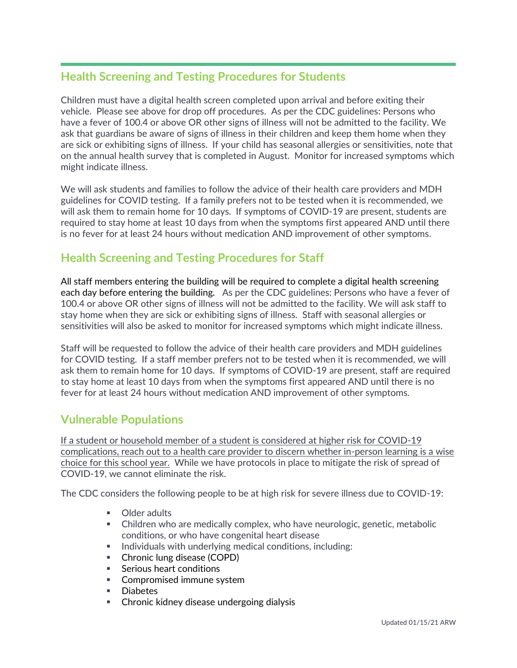### **Health Screening and Testing Procedures for Students**

Children must have a digital health screen completed upon arrival and before exiting their vehicle. Please see above for drop off procedures. As per the CDC guidelines: Persons who have a fever of 100.4 or above OR other signs of illness will not be admitted to the facility. We ask that guardians be aware of signs of illness in their children and keep them home when they are sick or exhibiting signs of illness. If your child has seasonal allergies or sensitivities, note that on the annual health survey that is completed in August. Monitor for increased symptoms which might indicate illness.

We will ask students and families to follow the advice of their health care providers and MDH guidelines for COVID testing. If a family prefers not to be tested when it is recommended, we will ask them to remain home for 10 days. If symptoms of COVID-19 are present, students are required to stay home at least 10 days from when the symptoms first appeared AND until there is no fever for at least 24 hours without medication AND improvement of other symptoms.

### **Health Screening and Testing Procedures for Staff**

All staff members entering the building will be required to complete a digital health screening each day before entering the building. As per the CDC guidelines: Persons who have a fever of 100.4 or above OR other signs of illness will not be admitted to the facility. We will ask staff to stay home when they are sick or exhibiting signs of illness. Staff with seasonal allergies or sensitivities will also be asked to monitor for increased symptoms which might indicate illness.

Staff will be requested to follow the advice of their health care providers and MDH guidelines for COVID testing. If a staff member prefers not to be tested when it is recommended, we will ask them to remain home for 10 days. If symptoms of COVID-19 are present, staff are required to stay home at least 10 days from when the symptoms first appeared AND until there is no fever for at least 24 hours without medication AND improvement of other symptoms.

### **Vulnerable Populations**

If a student or household member of a student is considered at higher risk for COVID-19 complications, reach out to a health care provider to discern whether in-person learning is a wise choice for this school year. While we have protocols in place to mitigate the risk of spread of COVID-19, we cannot eliminate the risk.

The CDC considers the following people to be at high risk for severe illness due to COVID-19:

- Older adults
- Children who are medically complex, who have neurologic, genetic, metabolic conditions, or who have congenital heart disease
- Individuals with underlying medical conditions, including:
- Chronic lung disease (COPD)
- **EXECUTE:** Serious heart conditions
- Compromised immune system
- Diabetes
- **EXEDENGE** Chronic kidney disease undergoing dialysis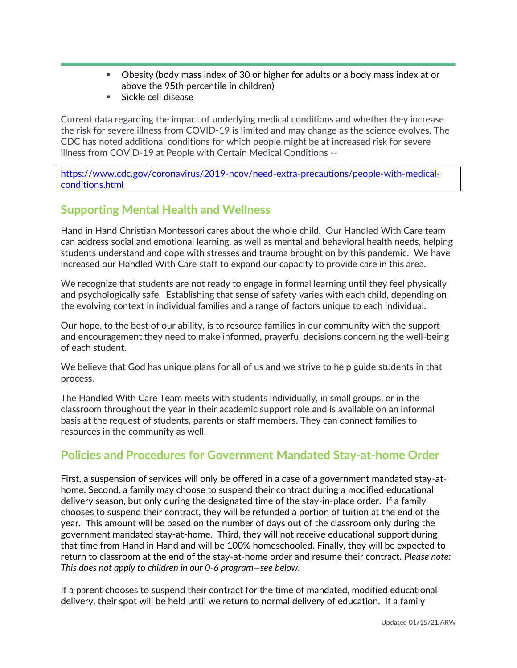- Obesity (body mass index of 30 or higher for adults or a body mass index at or above the 95th percentile in children)
- **Exercise** Sickle cell disease

Current data regarding the impact of underlying medical conditions and whether they increase the risk for severe illness from COVID-19 is limited and may change as the science evolves. The CDC has noted additional conditions for which people might be at increased risk for severe illness from COVID-19 at People with Certain Medical Conditions --

[https://www.cdc.gov/coronavirus/2019-ncov/need-extra-precautions/people-with-medical](https://www.cdc.gov/coronavirus/2019-ncov/need-extra-precautions/people-with-medical-conditions.html)[conditions.html](https://www.cdc.gov/coronavirus/2019-ncov/need-extra-precautions/people-with-medical-conditions.html)

### **Supporting Mental Health and Wellness**

Hand in Hand Christian Montessori cares about the whole child. Our Handled With Care team can address social and emotional learning, as well as mental and behavioral health needs, helping students understand and cope with stresses and trauma brought on by this pandemic. We have increased our Handled With Care staff to expand our capacity to provide care in this area.

We recognize that students are not ready to engage in formal learning until they feel physically and psychologically safe. Establishing that sense of safety varies with each child, depending on the evolving context in individual families and a range of factors unique to each individual.

Our hope, to the best of our ability, is to resource families in our community with the support and encouragement they need to make informed, prayerful decisions concerning the well-being of each student.

We believe that God has unique plans for all of us and we strive to help guide students in that process.

The Handled With Care Team meets with students individually, in small groups, or in the classroom throughout the year in their academic support role and is available on an informal basis at the request of students, parents or staff members. They can connect families to resources in the community as well.

### **Policies and Procedures for Government Mandated Stay-at-home Order**

First, a suspension of services will only be offered in a case of a government mandated stay-athome. Second, a family may choose to suspend their contract during a modified educational delivery season, but only during the designated time of the stay-in-place order. If a family chooses to suspend their contract, they will be refunded a portion of tuition at the end of the year. This amount will be based on the number of days out of the classroom only during the government mandated stay-at-home. Third, they will not receive educational support during that time from Hand in Hand and will be 100% homeschooled. Finally, they will be expected to return to classroom at the end of the stay-at-home order and resume their contract. *Please note: This does not apply to children in our 0-6 program—see below.*

If a parent chooses to suspend their contract for the time of mandated, modified educational delivery, their spot will be held until we return to normal delivery of education. If a family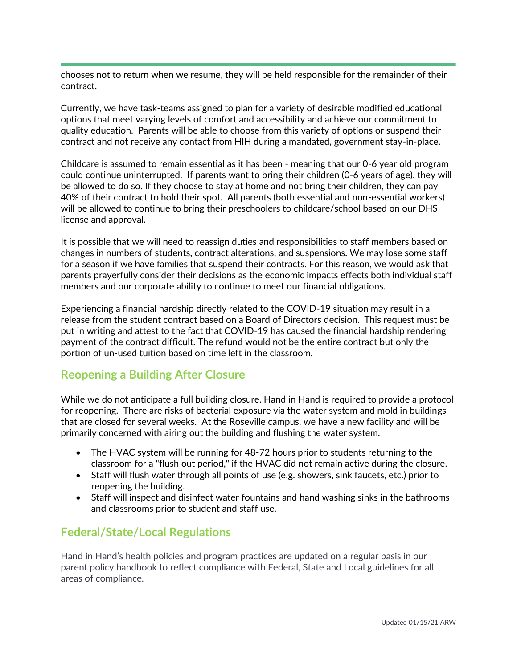chooses not to return when we resume, they will be held responsible for the remainder of their contract.

Currently, we have task-teams assigned to plan for a variety of desirable modified educational options that meet varying levels of comfort and accessibility and achieve our commitment to quality education. Parents will be able to choose from this variety of options or suspend their contract and not receive any contact from HIH during a mandated, government stay-in-place.

Childcare is assumed to remain essential as it has been - meaning that our 0-6 year old program could continue uninterrupted. If parents want to bring their children (0-6 years of age), they will be allowed to do so. If they choose to stay at home and not bring their children, they can pay 40% of their contract to hold their spot. All parents (both essential and non-essential workers) will be allowed to continue to bring their preschoolers to childcare/school based on our DHS license and approval.

It is possible that we will need to reassign duties and responsibilities to staff members based on changes in numbers of students, contract alterations, and suspensions. We may lose some staff for a season if we have families that suspend their contracts. For this reason, we would ask that parents prayerfully consider their decisions as the economic impacts effects both individual staff members and our corporate ability to continue to meet our financial obligations.

Experiencing a financial hardship directly related to the COVID-19 situation may result in a release from the student contract based on a Board of Directors decision. This request must be put in writing and attest to the fact that COVID-19 has caused the financial hardship rendering payment of the contract difficult. The refund would not be the entire contract but only the portion of un-used tuition based on time left in the classroom.

### **Reopening a Building After Closure**

While we do not anticipate a full building closure, Hand in Hand is required to provide a protocol for reopening. There are risks of bacterial exposure via the water system and mold in buildings that are closed for several weeks. At the Roseville campus, we have a new facility and will be primarily concerned with airing out the building and flushing the water system.

- The HVAC system will be running for 48-72 hours prior to students returning to the classroom for a "flush out period," if the HVAC did not remain active during the closure.
- Staff will flush water through all points of use (e.g. showers, sink faucets, etc.) prior to reopening the building.
- Staff will inspect and disinfect water fountains and hand washing sinks in the bathrooms and classrooms prior to student and staff use.

### **Federal/State/Local Regulations**

Hand in Hand's health policies and program practices are updated on a regular basis in our parent policy handbook to reflect compliance with Federal, State and Local guidelines for all areas of compliance.